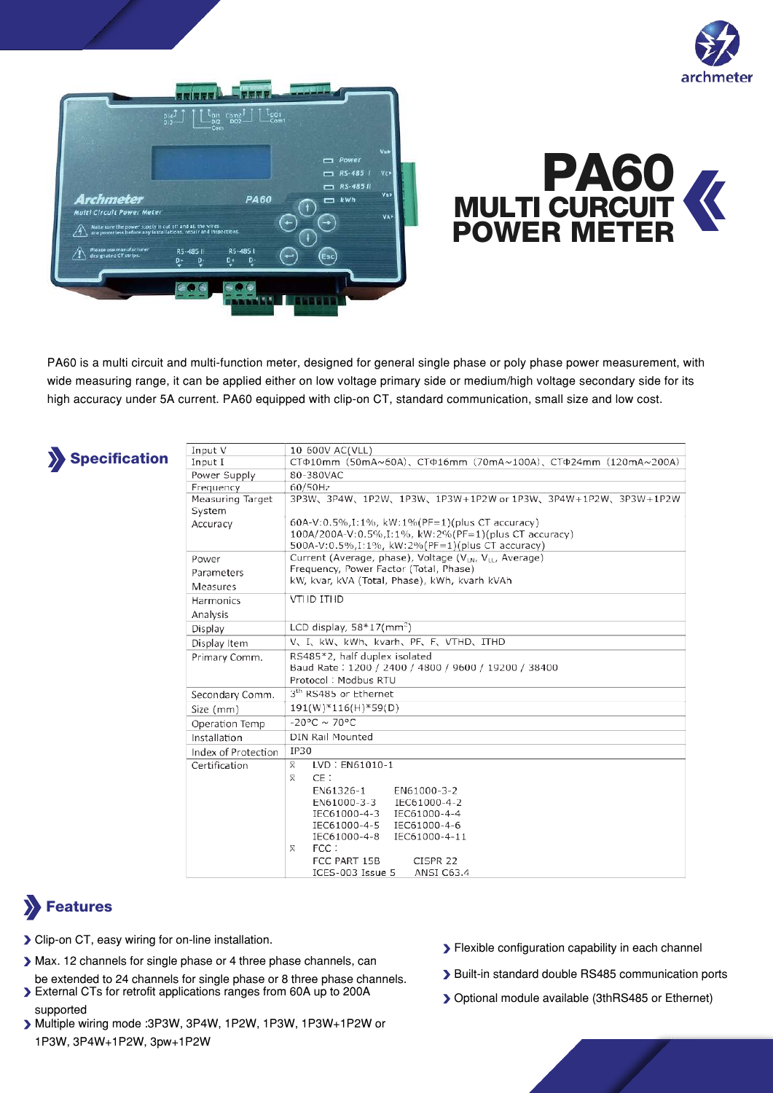





PA60 is a multi circuit and multi-function meter, designed for general single phase or poly phase power measurement, with wide measuring range, it can be applied either on low voltage primary side or medium/high voltage secondary side for its high accuracy under 5A current. PA60 equipped with clip-on CT, standard communication, small size and low cost.



 $\Box$ 

| Input V                    | 10-600V AC(VLL)                                                                                                                                                                                                                                                                      |
|----------------------------|--------------------------------------------------------------------------------------------------------------------------------------------------------------------------------------------------------------------------------------------------------------------------------------|
| Input I                    | CTΦ10mm (50mA~60A), CTΦ16mm (70mA~100A), CTΦ24mm (120mA~200A)                                                                                                                                                                                                                        |
| Power Supply               | 80-380VAC                                                                                                                                                                                                                                                                            |
| Frequency                  | 60/50Hz                                                                                                                                                                                                                                                                              |
| Measuring Target<br>System | 3P3W、3P4W、1P2W、1P3W、1P3W+1P2W or 1P3W、3P4W+1P2W、3P3W+1P2W                                                                                                                                                                                                                            |
| Accuracy                   | 60A-V:0.5%, I:1%, kW:1% (PF=1) (plus CT accuracy)<br>100A/200A-V:0.5%,I:1%, kW:2%(PF=1)(plus CT accuracy)<br>500A-V:0.5%,I:1%, kW:2%(PF=1)(plus CT accuracy)                                                                                                                         |
| Power                      | Current (Average, phase), Voltage (V <sub>LN</sub> , V <sub>LL</sub> , Average)                                                                                                                                                                                                      |
| Parameters                 | Frequency, Power Factor (Total, Phase)                                                                                                                                                                                                                                               |
| Measures                   | kW, kvar, kVA (Total, Phase), kWh, kvarh kVAh                                                                                                                                                                                                                                        |
| <b>Harmonics</b>           | <b>VTHD ITHD</b>                                                                                                                                                                                                                                                                     |
| Analysis                   |                                                                                                                                                                                                                                                                                      |
| Display                    | LCD display, $58*17$ (mm <sup>2</sup> )                                                                                                                                                                                                                                              |
| Display Item               | V、I、kW、kWh、kvarh、PF、F、VTHD、ITHD                                                                                                                                                                                                                                                      |
| Primary Comm.              | RS485*2, half duplex isolated<br>Baud Rate: 1200 / 2400 / 4800 / 9600 / 19200 / 38400<br>Protocol: Modbus RTU                                                                                                                                                                        |
| Secondary Comm.            | 3 <sup>th</sup> RS485 or Ethernet                                                                                                                                                                                                                                                    |
| Size (mm)                  | $191(W)*116(H)*59(D)$                                                                                                                                                                                                                                                                |
| Operation Temp             | $-20^{\circ}$ C ~ 70°C                                                                                                                                                                                                                                                               |
| Installation               | DIN Rail Mounted                                                                                                                                                                                                                                                                     |
| Index of Protection        | IP30                                                                                                                                                                                                                                                                                 |
| Certification              | LVD: EN61010-1<br>X.<br>CE:<br>x<br>EN61326-1<br>EN61000-3-2<br>EN61000-3-3<br>IEC61000-4-2<br>IEC61000-4-3<br>IEC61000-4-4<br>IEC61000-4-5 IEC61000-4-6<br>IEC61000-4-8<br>IEC61000-4-11<br>FCC:<br>X.<br>FCC PART 15B<br>CISPR <sub>22</sub><br>$ICFS-0.03$ $Ics1P_5$ ANSI $C63.4$ |

# Features

- Clip-on CT, easy wiring for on-line installation.
- Max. 12 channels for single phase or 4 three phase channels, can
- be extended to 24 channels for single phase or 8 three phase channels. External CTs for retrofit applications ranges from 60A up to 200A
- supported Multiple wiring mode :3P3W, 3P4W, 1P2W, 1P3W, 1P3W+1P2W or 1P3W, 3P4W+1P2W, 3pw+1P2W
- **>** Flexible configuration capability in each channel
- Built-in standard double RS485 communication ports
- Optional module available (3thRS485 or Ethernet)